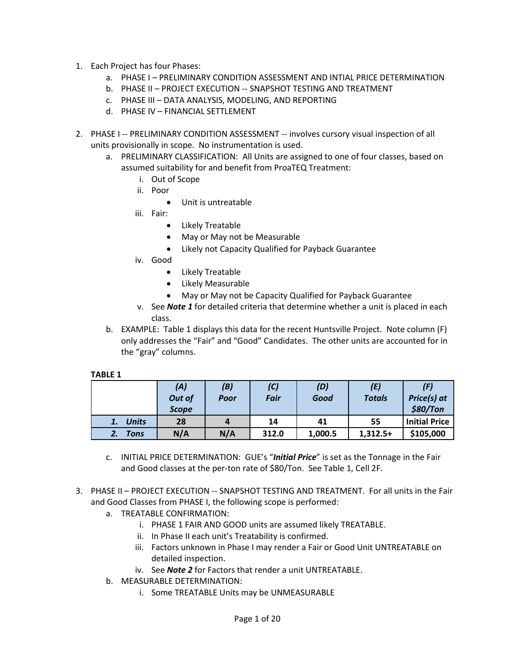- 1. Each Project has four Phases:
	- a. PHASE I PRELIMINARY CONDITION ASSESSMENT AND INTIAL PRICE DETERMINATION
	- b. PHASE II PROJECT EXECUTION -- SNAPSHOT TESTING AND TREATMENT
	- c. PHASE III DATA ANALYSIS, MODELING, AND REPORTING
	- d. PHASE IV FINANCIAL SETTLEMENT
- 2. PHASE I -- PRELIMINARY CONDITION ASSESSMENT -- involves cursory visual inspection of all units provisionally in scope. No instrumentation is used.
	- a. PRELIMINARY CLASSIFICATION: All Units are assigned to one of four classes, based on assumed suitability for and benefit from ProaTEQ Treatment:
		- i. Out of Scope
		- ii. Poor
			- Unit is untreatable
		- iii. Fair:
			- Likely Treatable
			- May or May not be Measurable
			- Likely not Capacity Qualified for Payback Guarantee
		- iv. Good
			- Likely Treatable
			- Likely Measurable
			- May or May not be Capacity Qualified for Payback Guarantee
		- v. See *Note 1* for detailed criteria that determine whether a unit is placed in each class.
	- b. EXAMPLE: Table 1 displays this data for the recent Huntsville Project. Note column (F) only addresses the "Fair" and "Good" Candidates. The other units are accounted for in the "gray" columns.

#### **TABLE 1**

|              | (A)<br>Out of<br><b>Scope</b> | (B)<br>Poor | (C)<br><b>Fair</b> | (D)<br>Good | (E)<br><b>Totals</b> | (F)<br>Price(s) at<br>\$80/Ton |
|--------------|-------------------------------|-------------|--------------------|-------------|----------------------|--------------------------------|
| <b>Units</b> | 28                            | 4           | 14                 | 41          | 55                   | <b>Initial Price</b>           |
| Tons         | N/A                           | N/A         | 312.0              | 1,000.5     | $1,312.5+$           | \$105,000                      |

- c. INITIAL PRICE DETERMINATION: GUE's "*Initial Price*" is set as the Tonnage in the Fair and Good classes at the per-ton rate of \$80/Ton. See Table 1, Cell 2F.
- 3. PHASE II PROJECT EXECUTION -- SNAPSHOT TESTING AND TREATMENT. For all units in the Fair and Good Classes from PHASE I, the following scope is performed:
	- a. TREATABLE CONFIRMATION:
		- i. PHASE 1 FAIR AND GOOD units are assumed likely TREATABLE.
		- ii. In Phase II each unit's Treatability is confirmed.
		- iii. Factors unknown in Phase I may render a Fair or Good Unit UNTREATABLE on detailed inspection.
		- iv. See *Note 2* for Factors that render a unit UNTREATABLE.
	- b. MEASURABLE DETERMINATION:
		- i. Some TREATABLE Units may be UNMEASURABLE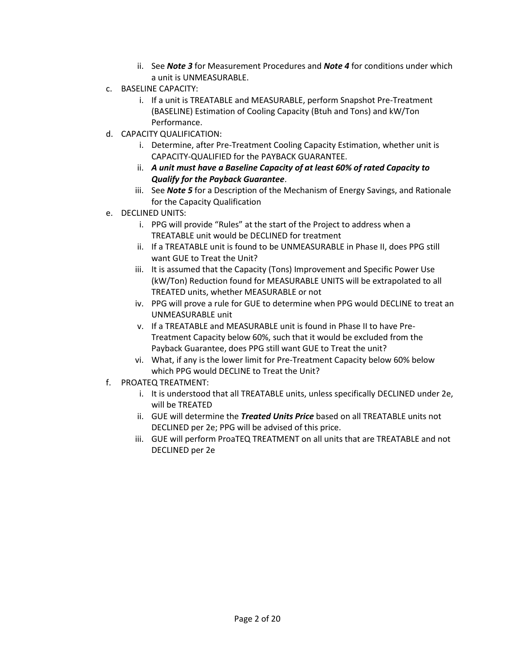- ii. See *Note 3* for Measurement Procedures and *Note 4* for conditions under which a unit is UNMEASURABLE.
- c. BASELINE CAPACITY:
	- i. If a unit is TREATABLE and MEASURABLE, perform Snapshot Pre-Treatment (BASELINE) Estimation of Cooling Capacity (Btuh and Tons) and kW/Ton Performance.
- d. CAPACITY QUALIFICATION:
	- i. Determine, after Pre-Treatment Cooling Capacity Estimation, whether unit is CAPACITY-QUALIFIED for the PAYBACK GUARANTEE.
	- ii. *A unit must have a Baseline Capacity of at least 60% of rated Capacity to Qualify for the Payback Guarantee*.
	- iii. See *Note 5* for a Description of the Mechanism of Energy Savings, and Rationale for the Capacity Qualification
- e. DECLINED UNITS:
	- i. PPG will provide "Rules" at the start of the Project to address when a TREATABLE unit would be DECLINED for treatment
	- ii. If a TREATABLE unit is found to be UNMEASURABLE in Phase II, does PPG still want GUE to Treat the Unit?
	- iii. It is assumed that the Capacity (Tons) Improvement and Specific Power Use (kW/Ton) Reduction found for MEASURABLE UNITS will be extrapolated to all TREATED units, whether MEASURABLE or not
	- iv. PPG will prove a rule for GUE to determine when PPG would DECLINE to treat an UNMEASURABLE unit
	- v. If a TREATABLE and MEASURABLE unit is found in Phase II to have Pre-Treatment Capacity below 60%, such that it would be excluded from the Payback Guarantee, does PPG still want GUE to Treat the unit?
	- vi. What, if any is the lower limit for Pre-Treatment Capacity below 60% below which PPG would DECLINE to Treat the Unit?
- f. PROATEQ TREATMENT:
	- i. It is understood that all TREATABLE units, unless specifically DECLINED under 2e, will be TREATED
	- ii. GUE will determine the *Treated Units Price* based on all TREATABLE units not DECLINED per 2e; PPG will be advised of this price.
	- iii. GUE will perform ProaTEQ TREATMENT on all units that are TREATABLE and not DECLINED per 2e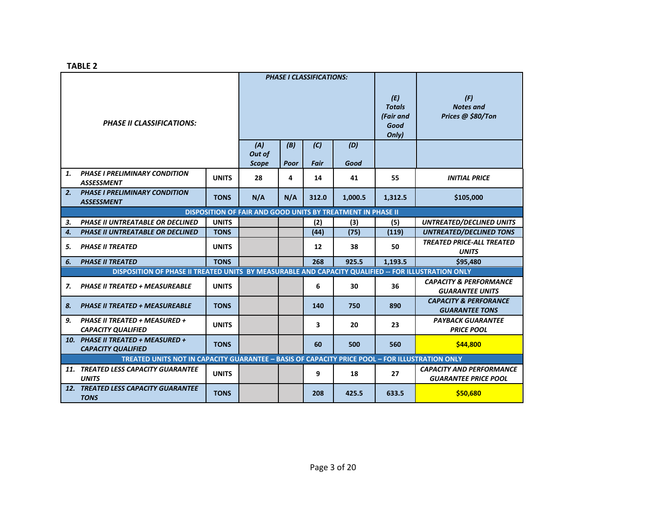**TABLE 2**

|                                                                                                |                                                                                                     | <b>PHASE I CLASSIFICATIONS:</b> |                               |             |             |             |                                                    |                                                                |  |  |  |
|------------------------------------------------------------------------------------------------|-----------------------------------------------------------------------------------------------------|---------------------------------|-------------------------------|-------------|-------------|-------------|----------------------------------------------------|----------------------------------------------------------------|--|--|--|
| <b>PHASE II CLASSIFICATIONS:</b>                                                               |                                                                                                     |                                 |                               |             |             |             | (E)<br><b>Totals</b><br>(Fair and<br>Good<br>Only) | (F)<br><b>Notes and</b><br>Prices @ \$80/Ton                   |  |  |  |
|                                                                                                |                                                                                                     |                                 | (A)<br>Out of<br><b>Scope</b> | (B)<br>Poor | (C)<br>Fair | (D)<br>Good |                                                    |                                                                |  |  |  |
| 1.                                                                                             | <b>PHASE I PRELIMINARY CONDITION</b><br><b>ASSESSMENT</b>                                           | <b>UNITS</b>                    | 28                            | 4           | 14          | 41          | 55                                                 | <b>INITIAL PRICE</b>                                           |  |  |  |
| 2.                                                                                             | <b>PHASE I PRELIMINARY CONDITION</b><br><b>ASSESSMENT</b>                                           | <b>TONS</b>                     | N/A                           | N/A         | 312.0       | 1,000.5     | 1,312.5                                            | \$105,000                                                      |  |  |  |
| DISPOSITION OF FAIR AND GOOD UNITS BY TREATMENT IN PHASE II                                    |                                                                                                     |                                 |                               |             |             |             |                                                    |                                                                |  |  |  |
| 3.                                                                                             | <b>PHASE II UNTREATABLE OR DECLINED</b>                                                             | <b>UNITS</b>                    |                               |             | (2)         | (3)         | (5)                                                | <b>UNTREATED/DECLINED UNITS</b>                                |  |  |  |
| $\boldsymbol{4}$ .                                                                             | <b>PHASE II UNTREATABLE OR DECLINED</b>                                                             | <b>TONS</b>                     |                               |             | (44)        | (75)        | (119)                                              | <b>UNTREATED/DECLINED TONS</b>                                 |  |  |  |
| 5.                                                                                             | <b>PHASE II TREATED</b>                                                                             | <b>UNITS</b>                    |                               |             | 12          | 38          | 50                                                 | <b>TREATED PRICE-ALL TREATED</b><br><b>UNITS</b>               |  |  |  |
| 6.                                                                                             | <b>PHASE II TREATED</b><br><b>TONS</b>                                                              |                                 |                               |             | 268         | 925.5       | 1,193.5                                            | \$95.480                                                       |  |  |  |
|                                                                                                | DISPOSITION OF PHASE II TREATED UNITS BY MEASURABLE AND CAPACITY QUALIFIED -- FOR ILLUSTRATION ONLY |                                 |                               |             |             |             |                                                    |                                                                |  |  |  |
| 7.                                                                                             | <b>PHASE II TREATED + MEASUREABLE</b>                                                               | <b>UNITS</b>                    |                               |             | 6           | 30          | 36                                                 | <b>CAPACITY &amp; PERFORMANCE</b><br><b>GUARANTEE UNITS</b>    |  |  |  |
| 8.                                                                                             | <b>PHASE II TREATED + MEASUREABLE</b>                                                               | <b>TONS</b>                     |                               |             | 140         | 750         | 890                                                | <b>CAPACITY &amp; PERFORANCE</b><br><b>GUARANTEE TONS</b>      |  |  |  |
| 9.                                                                                             | PHASE II TREATED + MEASURED +<br><b>CAPACITY QUALIFIED</b>                                          | <b>UNITS</b>                    |                               |             | 3           | 20          | 23                                                 | <b>PAYBACK GUARANTEE</b><br><b>PRICE POOL</b>                  |  |  |  |
|                                                                                                | 10. PHASE II TREATED + MEASURED +<br><b>CAPACITY QUALIFIED</b>                                      | <b>TONS</b>                     |                               |             | 60          | 500         | 560                                                | \$44,800                                                       |  |  |  |
| TREATED UNITS NOT IN CAPACITY GUARANTEE - BASIS OF CAPACITY PRICE POOL - FOR ILLUSTRATION ONLY |                                                                                                     |                                 |                               |             |             |             |                                                    |                                                                |  |  |  |
|                                                                                                | 11. TREATED LESS CAPACITY GUARANTEE<br><b>UNITS</b>                                                 | <b>UNITS</b>                    |                               |             | 9           | 18          | 27                                                 | <b>CAPACITY AND PERFORMANCE</b><br><b>GUARANTEE PRICE POOL</b> |  |  |  |
|                                                                                                | 12. TREATED LESS CAPACITY GUARANTEE<br><b>TONS</b>                                                  | <b>TONS</b>                     |                               |             | 208         | 425.5       | 633.5                                              | \$50,680                                                       |  |  |  |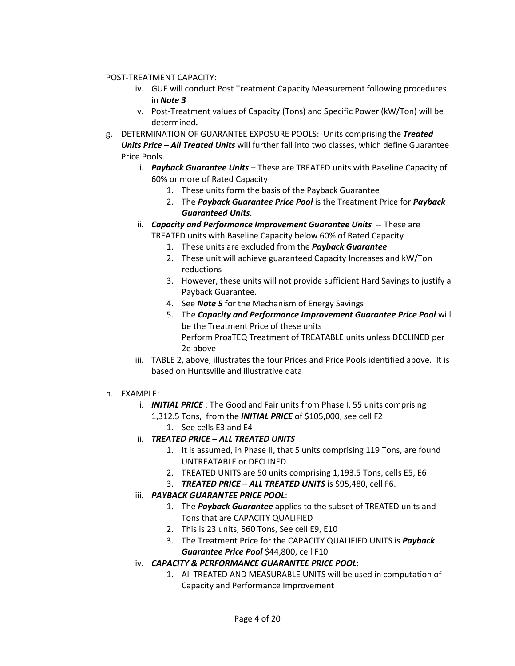#### POST-TREATMENT CAPACITY:

- iv. GUE will conduct Post Treatment Capacity Measurement following procedures in *Note 3*
- v. Post-Treatment values of Capacity (Tons) and Specific Power (kW/Ton) will be determined*.*
- g. DETERMINATION OF GUARANTEE EXPOSURE POOLS: Units comprising the *Treated Units Price – All Treated Units* will further fall into two classes, which define Guarantee Price Pools.
	- i. *Payback Guarantee Units* These are TREATED units with Baseline Capacity of 60% or more of Rated Capacity
		- 1. These units form the basis of the Payback Guarantee
		- 2. The *Payback Guarantee Price Pool* is the Treatment Price for *Payback Guaranteed Units*.
	- ii. *Capacity and Performance Improvement Guarantee Units* -- These are TREATED units with Baseline Capacity below 60% of Rated Capacity
		- 1. These units are excluded from the *Payback Guarantee*
		- 2. These unit will achieve guaranteed Capacity Increases and kW/Ton reductions
		- 3. However, these units will not provide sufficient Hard Savings to justify a Payback Guarantee.
		- 4. See *Note 5* for the Mechanism of Energy Savings
		- 5. The *Capacity and Performance Improvement Guarantee Price Pool* will be the Treatment Price of these units Perform ProaTEQ Treatment of TREATABLE units unless DECLINED per 2e above
	- iii. TABLE 2, above, illustrates the four Prices and Price Pools identified above. It is based on Huntsville and illustrative data
- h. EXAMPLE:
	- i. *INITIAL PRICE* : The Good and Fair units from Phase I, 55 units comprising 1,312.5 Tons, from the *INITIAL PRICE* of \$105,000, see cell F2
		- 1. See cells E3 and E4
	- ii. *TREATED PRICE – ALL TREATED UNITS* 
		- 1. It is assumed, in Phase II, that 5 units comprising 119 Tons, are found UNTREATABLE or DECLINED
		- 2. TREATED UNITS are 50 units comprising 1,193.5 Tons, cells E5, E6
		- 3. *TREATED PRICE – ALL TREATED UNITS* is \$95,480, cell F6.

# iii. *PAYBACK GUARANTEE PRICE POOL*:

- 1. The *Payback Guarantee* applies to the subset of TREATED units and Tons that are CAPACITY QUALIFIED
- 2. This is 23 units, 560 Tons, See cell E9, E10
- 3. The Treatment Price for the CAPACITY QUALIFIED UNITS is *Payback Guarantee Price Pool* \$44,800, cell F10
- iv. *CAPACITY & PERFORMANCE GUARANTEE PRICE POOL*:
	- 1. All TREATED AND MEASURABLE UNITS will be used in computation of Capacity and Performance Improvement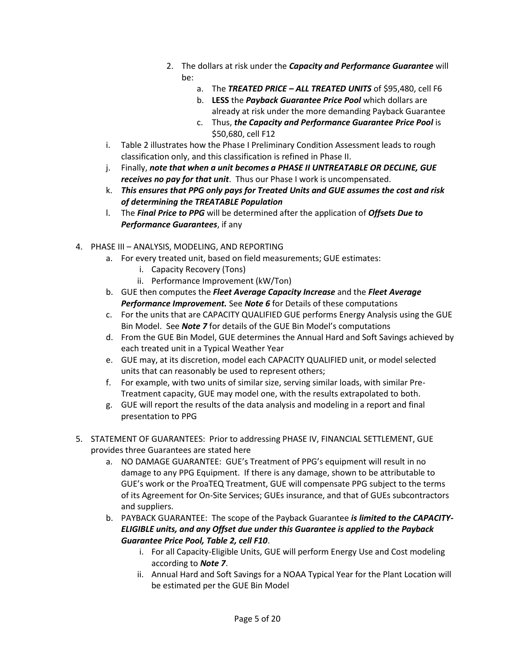- 2. The dollars at risk under the *Capacity and Performance Guarantee* will be:
	- a. The *TREATED PRICE – ALL TREATED UNITS* of \$95,480, cell F6
	- b. **LESS** the *Payback Guarantee Price Pool* which dollars are already at risk under the more demanding Payback Guarantee
	- c. Thus, *the Capacity and Performance Guarantee Price Pool* is \$50,680, cell F12
- i. Table 2 illustrates how the Phase I Preliminary Condition Assessment leads to rough classification only, and this classification is refined in Phase II.
- j. Finally, *note that when a unit becomes a PHASE II UNTREATABLE OR DECLINE, GUE receives no pay for that unit*. Thus our Phase I work is uncompensated.
- k. *This ensures that PPG only pays for Treated Units and GUE assumes the cost and risk of determining the TREATABLE Population*
- l. The *Final Price to PPG* will be determined after the application of *Offsets Due to Performance Guarantees*, if any
- 4. PHASE III ANALYSIS, MODELING, AND REPORTING
	- a. For every treated unit, based on field measurements; GUE estimates:
		- i. Capacity Recovery (Tons)
		- ii. Performance Improvement (kW/Ton)
	- b. GUE then computes the *Fleet Average Capacity Increase* and the *Fleet Average Performance Improvement.* See *Note 6* for Details of these computations
	- c. For the units that are CAPACITY QUALIFIED GUE performs Energy Analysis using the GUE Bin Model. See *Note 7* for details of the GUE Bin Model's computations
	- d. From the GUE Bin Model, GUE determines the Annual Hard and Soft Savings achieved by each treated unit in a Typical Weather Year
	- e. GUE may, at its discretion, model each CAPACITY QUALIFIED unit, or model selected units that can reasonably be used to represent others;
	- f. For example, with two units of similar size, serving similar loads, with similar Pre-Treatment capacity, GUE may model one, with the results extrapolated to both.
	- g. GUE will report the results of the data analysis and modeling in a report and final presentation to PPG
- 5. STATEMENT OF GUARANTEES: Prior to addressing PHASE IV, FINANCIAL SETTLEMENT, GUE provides three Guarantees are stated here
	- a. NO DAMAGE GUARANTEE: GUE's Treatment of PPG's equipment will result in no damage to any PPG Equipment. If there is any damage, shown to be attributable to GUE's work or the ProaTEQ Treatment, GUE will compensate PPG subject to the terms of its Agreement for On-Site Services; GUEs insurance, and that of GUEs subcontractors and suppliers.
	- b. PAYBACK GUARANTEE: The scope of the Payback Guarantee *is limited to the CAPACITY-ELIGIBLE units, and any Offset due under this Guarantee is applied to the Payback Guarantee Price Pool, Table 2, cell F10*.
		- i. For all Capacity-Eligible Units, GUE will perform Energy Use and Cost modeling according to *Note 7*.
		- ii. Annual Hard and Soft Savings for a NOAA Typical Year for the Plant Location will be estimated per the GUE Bin Model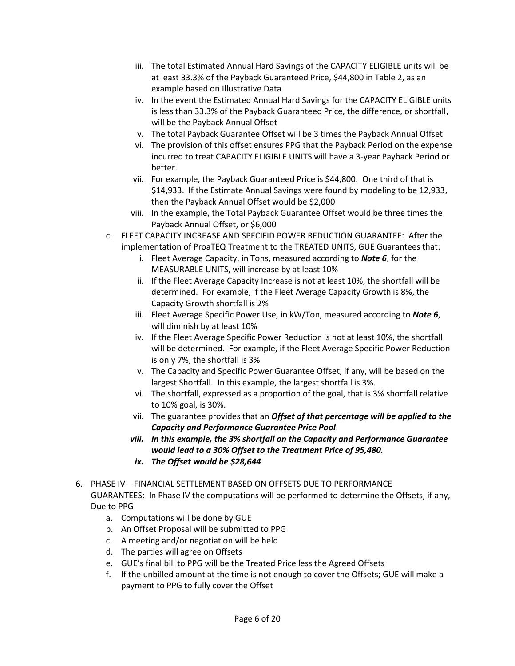- iii. The total Estimated Annual Hard Savings of the CAPACITY ELIGIBLE units will be at least 33.3% of the Payback Guaranteed Price, \$44,800 in Table 2, as an example based on Illustrative Data
- iv. In the event the Estimated Annual Hard Savings for the CAPACITY ELIGIBLE units is less than 33.3% of the Payback Guaranteed Price, the difference, or shortfall, will be the Payback Annual Offset
- v. The total Payback Guarantee Offset will be 3 times the Payback Annual Offset
- vi. The provision of this offset ensures PPG that the Payback Period on the expense incurred to treat CAPACITY ELIGIBLE UNITS will have a 3-year Payback Period or better.
- vii. For example, the Payback Guaranteed Price is \$44,800. One third of that is \$14,933. If the Estimate Annual Savings were found by modeling to be 12,933, then the Payback Annual Offset would be \$2,000
- viii. In the example, the Total Payback Guarantee Offset would be three times the Payback Annual Offset, or \$6,000
- c. FLEET CAPACITY INCREASE AND SPECIFID POWER REDUCTION GUARANTEE: After the implementation of ProaTEQ Treatment to the TREATED UNITS, GUE Guarantees that:
	- i. Fleet Average Capacity, in Tons, measured according to *Note 6*, for the MEASURABLE UNITS, will increase by at least 10%
	- ii. If the Fleet Average Capacity Increase is not at least 10%, the shortfall will be determined. For example, if the Fleet Average Capacity Growth is 8%, the Capacity Growth shortfall is 2%
	- iii. Fleet Average Specific Power Use, in kW/Ton, measured according to *Note 6*, will diminish by at least 10%
	- iv. If the Fleet Average Specific Power Reduction is not at least 10%, the shortfall will be determined. For example, if the Fleet Average Specific Power Reduction is only 7%, the shortfall is 3%
	- v. The Capacity and Specific Power Guarantee Offset, if any, will be based on the largest Shortfall. In this example, the largest shortfall is 3%.
	- vi. The shortfall, expressed as a proportion of the goal, that is 3% shortfall relative to 10% goal, is 30%.
	- vii. The guarantee provides that an *Offset of that percentage will be applied to the Capacity and Performance Guarantee Price Pool*.
	- *viii. In this example, the 3% shortfall on the Capacity and Performance Guarantee would lead to a 30% Offset to the Treatment Price of 95,480.*
	- *ix. The Offset would be \$28,644*
- 6. PHASE IV FINANCIAL SETTLEMENT BASED ON OFFSETS DUE TO PERFORMANCE GUARANTEES: In Phase IV the computations will be performed to determine the Offsets, if any, Due to PPG
	- a. Computations will be done by GUE
	- b. An Offset Proposal will be submitted to PPG
	- c. A meeting and/or negotiation will be held
	- d. The parties will agree on Offsets
	- e. GUE's final bill to PPG will be the Treated Price less the Agreed Offsets
	- f. If the unbilled amount at the time is not enough to cover the Offsets; GUE will make a payment to PPG to fully cover the Offset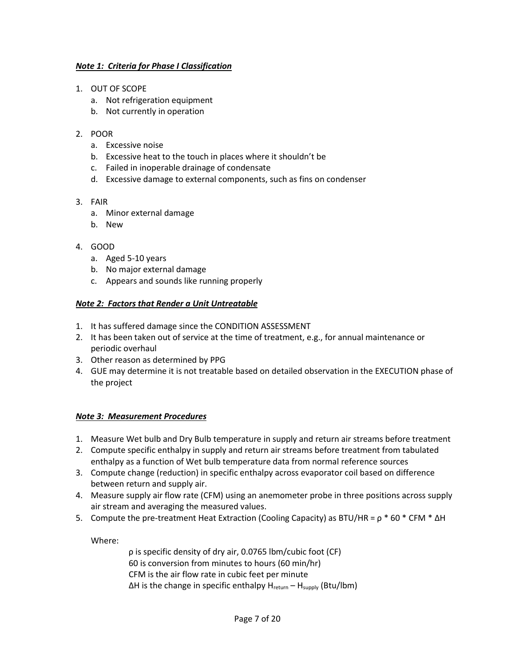#### *Note 1: Criteria for Phase I Classification*

- 1. OUT OF SCOPE
	- a. Not refrigeration equipment
	- b. Not currently in operation

#### 2. POOR

- a. Excessive noise
- b. Excessive heat to the touch in places where it shouldn't be
- c. Failed in inoperable drainage of condensate
- d. Excessive damage to external components, such as fins on condenser

#### 3. FAIR

- a. Minor external damage
- b. New

#### 4. GOOD

- a. Aged 5-10 years
- b. No major external damage
- c. Appears and sounds like running properly

#### *Note 2: Factors that Render a Unit Untreatable*

- 1. It has suffered damage since the CONDITION ASSESSMENT
- 2. It has been taken out of service at the time of treatment, e.g., for annual maintenance or periodic overhaul
- 3. Other reason as determined by PPG
- 4. GUE may determine it is not treatable based on detailed observation in the EXECUTION phase of the project

#### *Note 3: Measurement Procedures*

- 1. Measure Wet bulb and Dry Bulb temperature in supply and return air streams before treatment
- 2. Compute specific enthalpy in supply and return air streams before treatment from tabulated enthalpy as a function of Wet bulb temperature data from normal reference sources
- 3. Compute change (reduction) in specific enthalpy across evaporator coil based on difference between return and supply air.
- 4. Measure supply air flow rate (CFM) using an anemometer probe in three positions across supply air stream and averaging the measured values.
- 5. Compute the pre-treatment Heat Extraction (Cooling Capacity) as BTU/HR = ρ \* 60 \* CFM \* ΔH

Where:

ρ is specific density of dry air, 0.0765 lbm/cubic foot (CF) 60 is conversion from minutes to hours (60 min/hr) CFM is the air flow rate in cubic feet per minute ΔH is the change in specific enthalpy H<sub>return</sub> - H<sub>supply</sub> (Btu/lbm)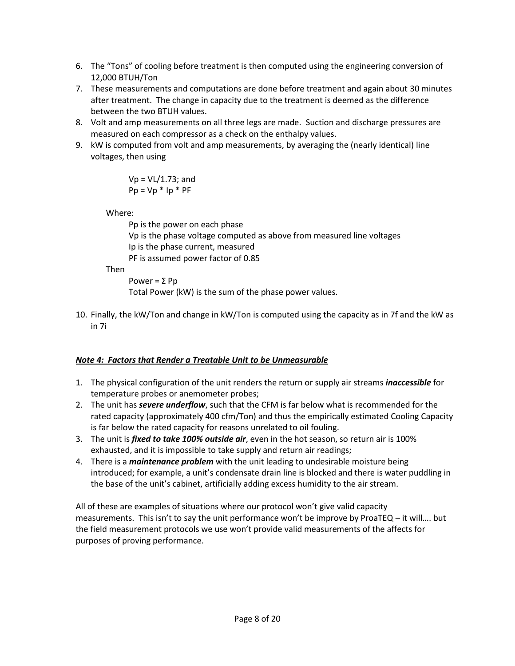- 6. The "Tons" of cooling before treatment is then computed using the engineering conversion of 12,000 BTUH/Ton
- 7. These measurements and computations are done before treatment and again about 30 minutes after treatment. The change in capacity due to the treatment is deemed as the difference between the two BTUH values.
- 8. Volt and amp measurements on all three legs are made. Suction and discharge pressures are measured on each compressor as a check on the enthalpy values.
- 9. kW is computed from volt and amp measurements, by averaging the (nearly identical) line voltages, then using

$$
Vp = VL/1.73; and
$$
  

$$
Pp = Vp * lp * PF
$$

Where:

Pp is the power on each phase Vp is the phase voltage computed as above from measured line voltages Ip is the phase current, measured PF is assumed power factor of 0.85

Then

```
Power = Σ Pp
```
Total Power (kW) is the sum of the phase power values.

10. Finally, the kW/Ton and change in kW/Ton is computed using the capacity as in 7f and the kW as in 7i

# *Note 4: Factors that Render a Treatable Unit to be Unmeasurable*

- 1. The physical configuration of the unit renders the return or supply air streams *inaccessible* for temperature probes or anemometer probes;
- 2. The unit has *severe underflow*, such that the CFM is far below what is recommended for the rated capacity (approximately 400 cfm/Ton) and thus the empirically estimated Cooling Capacity is far below the rated capacity for reasons unrelated to oil fouling.
- 3. The unit is *fixed to take 100% outside air*, even in the hot season, so return air is 100% exhausted, and it is impossible to take supply and return air readings;
- 4. There is a *maintenance problem* with the unit leading to undesirable moisture being introduced; for example, a unit's condensate drain line is blocked and there is water puddling in the base of the unit's cabinet, artificially adding excess humidity to the air stream.

All of these are examples of situations where our protocol won't give valid capacity measurements. This isn't to say the unit performance won't be improve by ProaTEQ – it will…. but the field measurement protocols we use won't provide valid measurements of the affects for purposes of proving performance.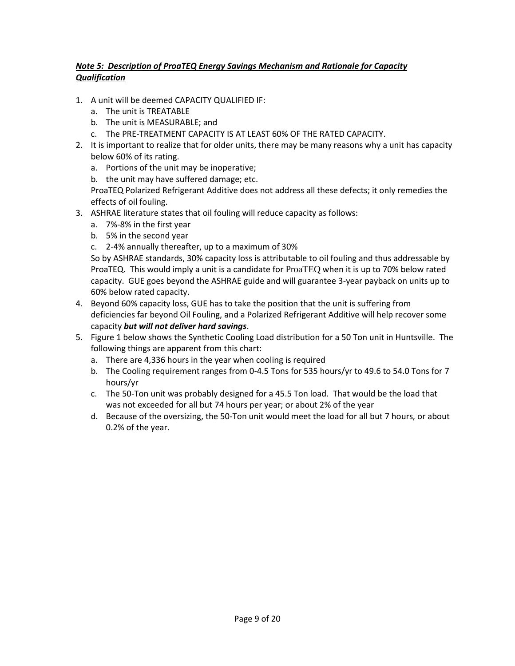### *Note 5: Description of ProaTEQ Energy Savings Mechanism and Rationale for Capacity Qualification*

- 1. A unit will be deemed CAPACITY QUALIFIED IF:
	- a. The unit is TREATABLE
	- b. The unit is MEASURABLE; and
	- c. The PRE-TREATMENT CAPACITY IS AT LEAST 60% OF THE RATED CAPACITY.
- 2. It is important to realize that for older units, there may be many reasons why a unit has capacity below 60% of its rating.
	- a. Portions of the unit may be inoperative;
	- b. the unit may have suffered damage; etc.

ProaTEQ Polarized Refrigerant Additive does not address all these defects; it only remedies the effects of oil fouling.

- 3. ASHRAE literature states that oil fouling will reduce capacity as follows:
	- a. 7%-8% in the first year
	- b. 5% in the second year
	- c. 2-4% annually thereafter, up to a maximum of 30%

So by ASHRAE standards, 30% capacity loss is attributable to oil fouling and thus addressable by ProaTEQ. This would imply a unit is a candidate for ProaTEQ when it is up to 70% below rated capacity. GUE goes beyond the ASHRAE guide and will guarantee 3-year payback on units up to 60% below rated capacity.

- 4. Beyond 60% capacity loss, GUE has to take the position that the unit is suffering from deficiencies far beyond Oil Fouling, and a Polarized Refrigerant Additive will help recover some capacity *but will not deliver hard savings*.
- 5. Figure 1 below shows the Synthetic Cooling Load distribution for a 50 Ton unit in Huntsville. The following things are apparent from this chart:
	- a. There are 4,336 hours in the year when cooling is required
	- b. The Cooling requirement ranges from 0-4.5 Tons for 535 hours/yr to 49.6 to 54.0 Tons for 7 hours/yr
	- c. The 50-Ton unit was probably designed for a 45.5 Ton load. That would be the load that was not exceeded for all but 74 hours per year; or about 2% of the year
	- d. Because of the oversizing, the 50-Ton unit would meet the load for all but 7 hours, or about 0.2% of the year.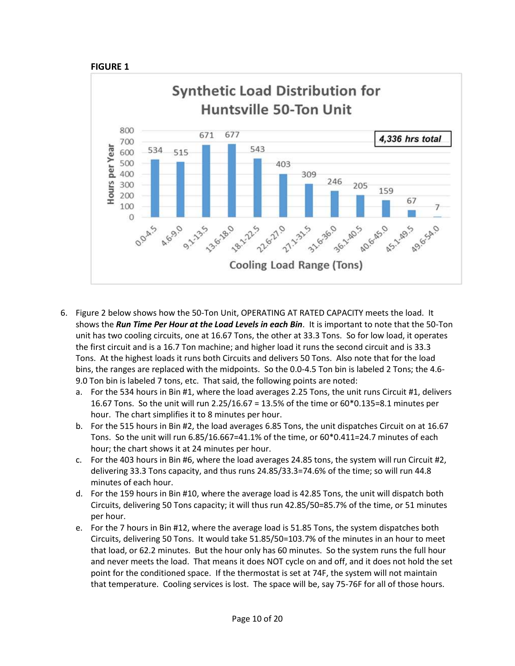



- 6. Figure 2 below shows how the 50-Ton Unit, OPERATING AT RATED CAPACITY meets the load. It shows the *Run Time Per Hour at the Load Levels in each Bin*. It is important to note that the 50-Ton unit has two cooling circuits, one at 16.67 Tons, the other at 33.3 Tons. So for low load, it operates the first circuit and is a 16.7 Ton machine; and higher load it runs the second circuit and is 33.3 Tons. At the highest loads it runs both Circuits and delivers 50 Tons. Also note that for the load bins, the ranges are replaced with the midpoints. So the 0.0-4.5 Ton bin is labeled 2 Tons; the 4.6- 9.0 Ton bin is labeled 7 tons, etc. That said, the following points are noted:
	- a. For the 534 hours in Bin #1, where the load averages 2.25 Tons, the unit runs Circuit #1, delivers 16.67 Tons. So the unit will run 2.25/16.67 = 13.5% of the time or 60\*0.135=8.1 minutes per hour. The chart simplifies it to 8 minutes per hour.
	- b. For the 515 hours in Bin #2, the load averages 6.85 Tons, the unit dispatches Circuit on at 16.67 Tons. So the unit will run 6.85/16.667=41.1% of the time, or 60\*0.411=24.7 minutes of each hour; the chart shows it at 24 minutes per hour.
	- c. For the 403 hours in Bin #6, where the load averages 24.85 tons, the system will run Circuit #2, delivering 33.3 Tons capacity, and thus runs 24.85/33.3=74.6% of the time; so will run 44.8 minutes of each hour.
	- d. For the 159 hours in Bin #10, where the average load is 42.85 Tons, the unit will dispatch both Circuits, delivering 50 Tons capacity; it will thus run 42.85/50=85.7% of the time, or 51 minutes per hour.
	- e. For the 7 hours in Bin #12, where the average load is 51.85 Tons, the system dispatches both Circuits, delivering 50 Tons. It would take 51.85/50=103.7% of the minutes in an hour to meet that load, or 62.2 minutes. But the hour only has 60 minutes. So the system runs the full hour and never meets the load. That means it does NOT cycle on and off, and it does not hold the set point for the conditioned space. If the thermostat is set at 74F, the system will not maintain that temperature. Cooling services is lost. The space will be, say 75-76F for all of those hours.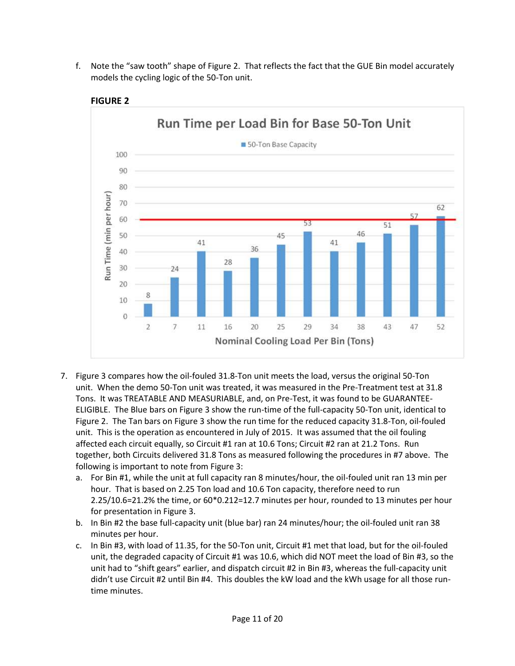f. Note the "saw tooth" shape of Figure 2. That reflects the fact that the GUE Bin model accurately models the cycling logic of the 50-Ton unit.



**FIGURE 2**

- 7. Figure 3 compares how the oil-fouled 31.8-Ton unit meets the load, versus the original 50-Ton unit. When the demo 50-Ton unit was treated, it was measured in the Pre-Treatment test at 31.8 Tons. It was TREATABLE AND MEASURIABLE, and, on Pre-Test, it was found to be GUARANTEE-ELIGIBLE. The Blue bars on Figure 3 show the run-time of the full-capacity 50-Ton unit, identical to Figure 2. The Tan bars on Figure 3 show the run time for the reduced capacity 31.8-Ton, oil-fouled unit. This is the operation as encountered in July of 2015. It was assumed that the oil fouling affected each circuit equally, so Circuit #1 ran at 10.6 Tons; Circuit #2 ran at 21.2 Tons. Run together, both Circuits delivered 31.8 Tons as measured following the procedures in #7 above. The following is important to note from Figure 3:
	- a. For Bin #1, while the unit at full capacity ran 8 minutes/hour, the oil-fouled unit ran 13 min per hour. That is based on 2.25 Ton load and 10.6 Ton capacity, therefore need to run 2.25/10.6=21.2% the time, or 60\*0.212=12.7 minutes per hour, rounded to 13 minutes per hour for presentation in Figure 3.
	- b. In Bin #2 the base full-capacity unit (blue bar) ran 24 minutes/hour; the oil-fouled unit ran 38 minutes per hour.
	- c. In Bin #3, with load of 11.35, for the 50-Ton unit, Circuit #1 met that load, but for the oil-fouled unit, the degraded capacity of Circuit #1 was 10.6, which did NOT meet the load of Bin #3, so the unit had to "shift gears" earlier, and dispatch circuit #2 in Bin #3, whereas the full-capacity unit didn't use Circuit #2 until Bin #4. This doubles the kW load and the kWh usage for all those runtime minutes.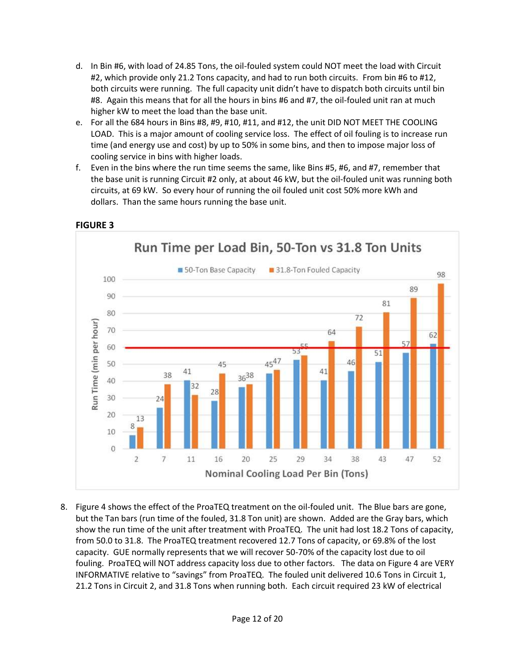- d. In Bin #6, with load of 24.85 Tons, the oil-fouled system could NOT meet the load with Circuit #2, which provide only 21.2 Tons capacity, and had to run both circuits. From bin #6 to #12, both circuits were running. The full capacity unit didn't have to dispatch both circuits until bin #8. Again this means that for all the hours in bins #6 and #7, the oil-fouled unit ran at much higher kW to meet the load than the base unit.
- e. For all the 684 hours in Bins #8, #9, #10, #11, and #12, the unit DID NOT MEET THE COOLING LOAD. This is a major amount of cooling service loss. The effect of oil fouling is to increase run time (and energy use and cost) by up to 50% in some bins, and then to impose major loss of cooling service in bins with higher loads.
- f. Even in the bins where the run time seems the same, like Bins #5, #6, and #7, remember that the base unit is running Circuit #2 only, at about 46 kW, but the oil-fouled unit was running both circuits, at 69 kW. So every hour of running the oil fouled unit cost 50% more kWh and dollars. Than the same hours running the base unit.



#### **FIGURE 3**

8. Figure 4 shows the effect of the ProaTEQ treatment on the oil-fouled unit. The Blue bars are gone, but the Tan bars (run time of the fouled, 31.8 Ton unit) are shown. Added are the Gray bars, which show the run time of the unit after treatment with ProaTEQ. The unit had lost 18.2 Tons of capacity, from 50.0 to 31.8. The ProaTEQ treatment recovered 12.7 Tons of capacity, or 69.8% of the lost capacity. GUE normally represents that we will recover 50-70% of the capacity lost due to oil fouling. ProaTEQ will NOT address capacity loss due to other factors. The data on Figure 4 are VERY INFORMATIVE relative to "savings" from ProaTEQ. The fouled unit delivered 10.6 Tons in Circuit 1, 21.2 Tons in Circuit 2, and 31.8 Tons when running both. Each circuit required 23 kW of electrical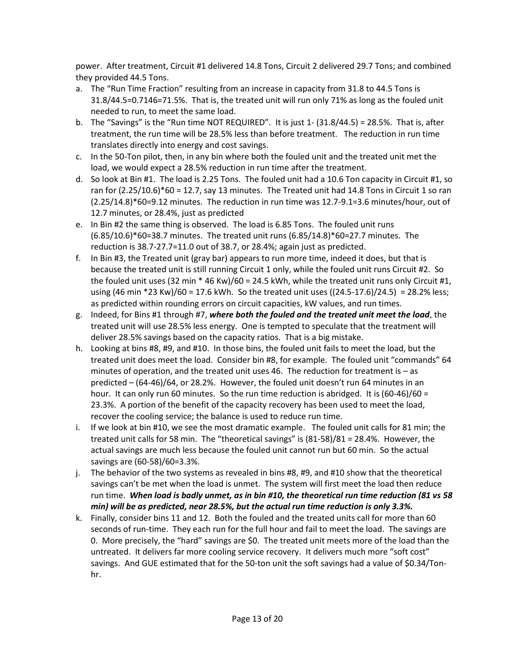power. After treatment, Circuit #1 delivered 14.8 Tons, Circuit 2 delivered 29.7 Tons; and combined they provided 44.5 Tons.

- a. The "Run Time Fraction" resulting from an increase in capacity from 31.8 to 44.5 Tons is 31.8/44.5=0.7146=71.5%. That is, the treated unit will run only 71% as long as the fouled unit needed to run, to meet the same load.
- b. The "Savings" is the "Run time NOT REQUIRED". It is just 1- (31.8/44.5) = 28.5%. That is, after treatment, the run time will be 28.5% less than before treatment. The reduction in run time translates directly into energy and cost savings.
- c. In the 50-Ton pilot, then, in any bin where both the fouled unit and the treated unit met the load, we would expect a 28.5% reduction in run time after the treatment.
- d. So look at Bin #1. The load is 2.25 Tons. The fouled unit had a 10.6 Ton capacity in Circuit #1, so ran for  $(2.25/10.6)*60 = 12.7$ , say 13 minutes. The Treated unit had 14.8 Tons in Circuit 1 so ran (2.25/14.8)\*60=9.12 minutes. The reduction in run time was 12.7-9.1=3.6 minutes/hour, out of 12.7 minutes, or 28.4%, just as predicted
- e. In Bin #2 the same thing is observed. The load is 6.85 Tons. The fouled unit runs (6.85/10.6)\*60=38.7 minutes. The treated unit runs (6.85/14.8)\*60=27.7 minutes. The reduction is 38.7-27.7=11.0 out of 38.7, or 28.4%; again just as predicted.
- f. In Bin #3, the Treated unit (gray bar) appears to run more time, indeed it does, but that is because the treated unit is still running Circuit 1 only, while the fouled unit runs Circuit #2. So the fouled unit uses (32 min \* 46 Kw)/60 = 24.5 kWh, while the treated unit runs only Circuit #1, using (46 min \*23 Kw)/60 = 17.6 kWh. So the treated unit uses ((24.5-17.6)/24.5) = 28.2% less; as predicted within rounding errors on circuit capacities, kW values, and run times.
- g. Indeed, for Bins #1 through #7, *where both the fouled and the treated unit meet the load*, the treated unit will use 28.5% less energy. One is tempted to speculate that the treatment will deliver 28.5% savings based on the capacity ratios. That is a big mistake.
- h. Looking at bins #8, #9, and #10. In those bins, the fouled unit fails to meet the load, but the treated unit does meet the load. Consider bin #8, for example. The fouled unit "commands" 64 minutes of operation, and the treated unit uses  $46$ . The reduction for treatment is  $-$  as predicted – (64-46)/64, or 28.2%. However, the fouled unit doesn't run 64 minutes in an hour. It can only run 60 minutes. So the run time reduction is abridged. It is  $(60-46)/60 =$ 23.3%. A portion of the benefit of the capacity recovery has been used to meet the load, recover the cooling service; the balance is used to reduce run time.
- i. If we look at bin #10, we see the most dramatic example. The fouled unit calls for 81 min; the treated unit calls for 58 min. The "theoretical savings" is (81-58)/81 = 28.4%. However, the actual savings are much less because the fouled unit cannot run but 60 min. So the actual savings are (60-58)/60=3.3%.
- j. The behavior of the two systems as revealed in bins #8, #9, and #10 show that the theoretical savings can't be met when the load is unmet. The system will first meet the load then reduce run time. *When load is badly unmet, as in bin #10, the theoretical run time reduction (81 vs 58 min) will be as predicted, near 28.5%, but the actual run time reduction is only 3.3%.*
- k. Finally, consider bins 11 and 12. Both the fouled and the treated units call for more than 60 seconds of run-time. They each run for the full hour and fail to meet the load. The savings are 0. More precisely, the "hard" savings are \$0. The treated unit meets more of the load than the untreated. It delivers far more cooling service recovery. It delivers much more "soft cost" savings. And GUE estimated that for the 50-ton unit the soft savings had a value of \$0.34/Tonhr.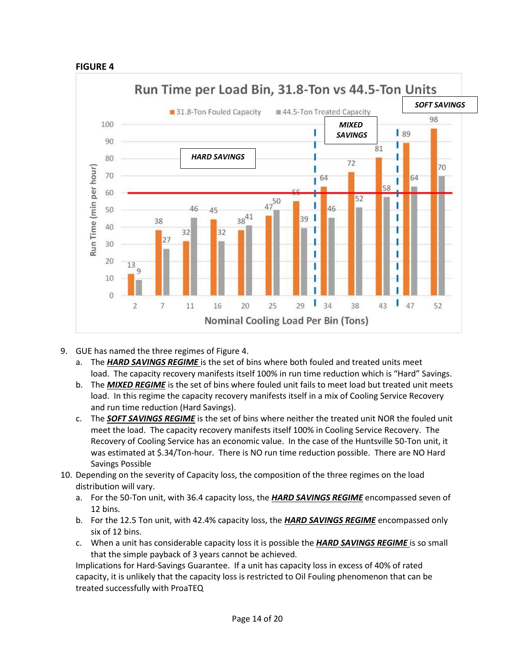#### **FIGURE 4**



- 9. GUE has named the three regimes of Figure 4.
	- a. The *HARD SAVINGS REGIME* is the set of bins where both fouled and treated units meet load. The capacity recovery manifests itself 100% in run time reduction which is "Hard" Savings.
	- b. The *MIXED REGIME* is the set of bins where fouled unit fails to meet load but treated unit meets load. In this regime the capacity recovery manifests itself in a mix of Cooling Service Recovery and run time reduction (Hard Savings).
	- c. The *SOFT SAVINGS REGIME* is the set of bins where neither the treated unit NOR the fouled unit meet the load. The capacity recovery manifests itself 100% in Cooling Service Recovery. The Recovery of Cooling Service has an economic value. In the case of the Huntsville 50-Ton unit, it was estimated at \$.34/Ton-hour. There is NO run time reduction possible. There are NO Hard Savings Possible
- 10. Depending on the severity of Capacity loss, the composition of the three regimes on the load distribution will vary.
	- a. For the 50-Ton unit, with 36.4 capacity loss, the *HARD SAVINGS REGIME* encompassed seven of 12 bins.
	- b. For the 12.5 Ton unit, with 42.4% capacity loss, the *HARD SAVINGS REGIME* encompassed only six of 12 bins.
	- c. When a unit has considerable capacity loss it is possible the *HARD SAVINGS REGIME* is so small that the simple payback of 3 years cannot be achieved.

Implications for Hard-Savings Guarantee. If a unit has capacity loss in excess of 40% of rated capacity, it is unlikely that the capacity loss is restricted to Oil Fouling phenomenon that can be treated successfully with ProaTEQ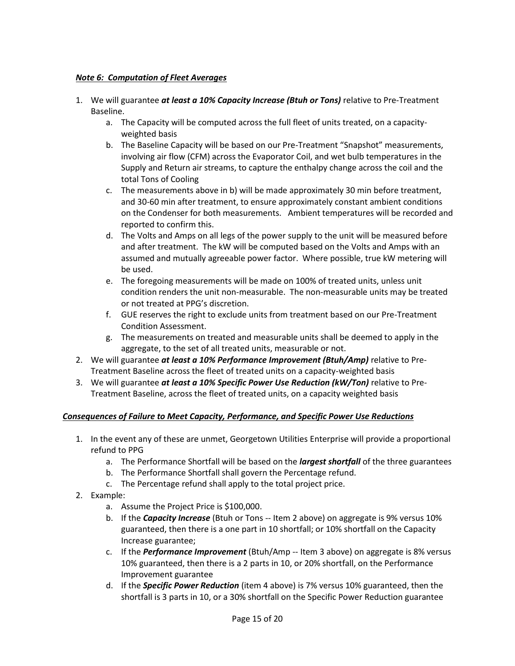#### *Note 6: Computation of Fleet Averages*

- 1. We will guarantee *at least a 10% Capacity Increase (Btuh or Tons)* relative to Pre-Treatment Baseline.
	- a. The Capacity will be computed across the full fleet of units treated, on a capacityweighted basis
	- b. The Baseline Capacity will be based on our Pre-Treatment "Snapshot" measurements, involving air flow (CFM) across the Evaporator Coil, and wet bulb temperatures in the Supply and Return air streams, to capture the enthalpy change across the coil and the total Tons of Cooling
	- c. The measurements above in b) will be made approximately 30 min before treatment, and 30-60 min after treatment, to ensure approximately constant ambient conditions on the Condenser for both measurements. Ambient temperatures will be recorded and reported to confirm this.
	- d. The Volts and Amps on all legs of the power supply to the unit will be measured before and after treatment. The kW will be computed based on the Volts and Amps with an assumed and mutually agreeable power factor. Where possible, true kW metering will be used.
	- e. The foregoing measurements will be made on 100% of treated units, unless unit condition renders the unit non-measurable. The non-measurable units may be treated or not treated at PPG's discretion.
	- f. GUE reserves the right to exclude units from treatment based on our Pre-Treatment Condition Assessment.
	- g. The measurements on treated and measurable units shall be deemed to apply in the aggregate, to the set of all treated units, measurable or not.
- 2. We will guarantee *at least a 10% Performance Improvement (Btuh/Amp)* relative to Pre-Treatment Baseline across the fleet of treated units on a capacity-weighted basis
- 3. We will guarantee *at least a 10% Specific Power Use Reduction (kW/Ton)* relative to Pre-Treatment Baseline, across the fleet of treated units, on a capacity weighted basis

#### *Consequences of Failure to Meet Capacity, Performance, and Specific Power Use Reductions*

- 1. In the event any of these are unmet, Georgetown Utilities Enterprise will provide a proportional refund to PPG
	- a. The Performance Shortfall will be based on the *largest shortfall* of the three guarantees
	- b. The Performance Shortfall shall govern the Percentage refund.
	- c. The Percentage refund shall apply to the total project price.
- 2. Example:
	- a. Assume the Project Price is \$100,000.
	- b. If the *Capacity Increase* (Btuh or Tons -- Item 2 above) on aggregate is 9% versus 10% guaranteed, then there is a one part in 10 shortfall; or 10% shortfall on the Capacity Increase guarantee;
	- c. If the *Performance Improvement* (Btuh/Amp -- Item 3 above) on aggregate is 8% versus 10% guaranteed, then there is a 2 parts in 10, or 20% shortfall, on the Performance Improvement guarantee
	- d. If the *Specific Power Reduction* (item 4 above) is 7% versus 10% guaranteed, then the shortfall is 3 parts in 10, or a 30% shortfall on the Specific Power Reduction guarantee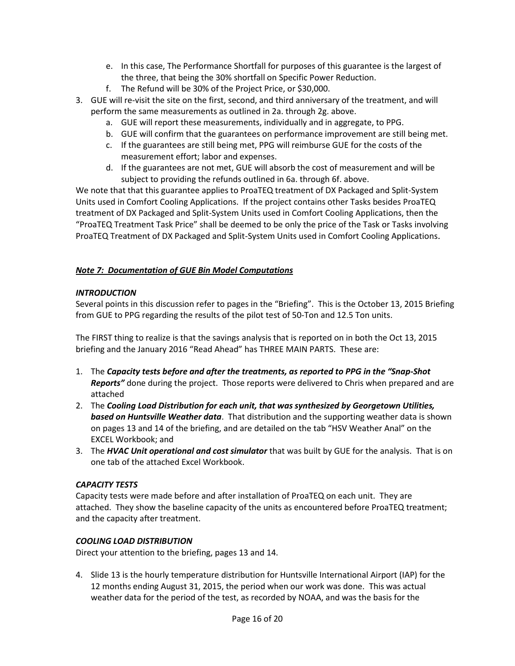- e. In this case, The Performance Shortfall for purposes of this guarantee is the largest of the three, that being the 30% shortfall on Specific Power Reduction.
- f. The Refund will be 30% of the Project Price, or \$30,000.
- 3. GUE will re-visit the site on the first, second, and third anniversary of the treatment, and will perform the same measurements as outlined in 2a. through 2g. above.
	- a. GUE will report these measurements, individually and in aggregate, to PPG.
	- b. GUE will confirm that the guarantees on performance improvement are still being met.
	- c. If the guarantees are still being met, PPG will reimburse GUE for the costs of the measurement effort; labor and expenses.
	- d. If the guarantees are not met, GUE will absorb the cost of measurement and will be subject to providing the refunds outlined in 6a. through 6f. above.

We note that that this guarantee applies to ProaTEQ treatment of DX Packaged and Split-System Units used in Comfort Cooling Applications. If the project contains other Tasks besides ProaTEQ treatment of DX Packaged and Split-System Units used in Comfort Cooling Applications, then the "ProaTEQ Treatment Task Price" shall be deemed to be only the price of the Task or Tasks involving ProaTEQ Treatment of DX Packaged and Split-System Units used in Comfort Cooling Applications.

### *Note 7: Documentation of GUE Bin Model Computations*

#### *INTRODUCTION*

Several points in this discussion refer to pages in the "Briefing". This is the October 13, 2015 Briefing from GUE to PPG regarding the results of the pilot test of 50-Ton and 12.5 Ton units.

The FIRST thing to realize is that the savings analysis that is reported on in both the Oct 13, 2015 briefing and the January 2016 "Read Ahead" has THREE MAIN PARTS. These are:

- 1. The *Capacity tests before and after the treatments, as reported to PPG in the "Snap-Shot Reports"* done during the project. Those reports were delivered to Chris when prepared and are attached
- 2. The *Cooling Load Distribution for each unit, that was synthesized by Georgetown Utilities, based on Huntsville Weather data*. That distribution and the supporting weather data is shown on pages 13 and 14 of the briefing, and are detailed on the tab "HSV Weather Anal" on the EXCEL Workbook; and
- 3. The *HVAC Unit operational and cost simulator* that was built by GUE for the analysis. That is on one tab of the attached Excel Workbook.

#### *CAPACITY TESTS*

Capacity tests were made before and after installation of ProaTEQ on each unit. They are attached. They show the baseline capacity of the units as encountered before ProaTEQ treatment; and the capacity after treatment.

#### *COOLING LOAD DISTRIBUTION*

Direct your attention to the briefing, pages 13 and 14.

4. Slide 13 is the hourly temperature distribution for Huntsville International Airport (IAP) for the 12 months ending August 31, 2015, the period when our work was done. This was actual weather data for the period of the test, as recorded by NOAA, and was the basis for the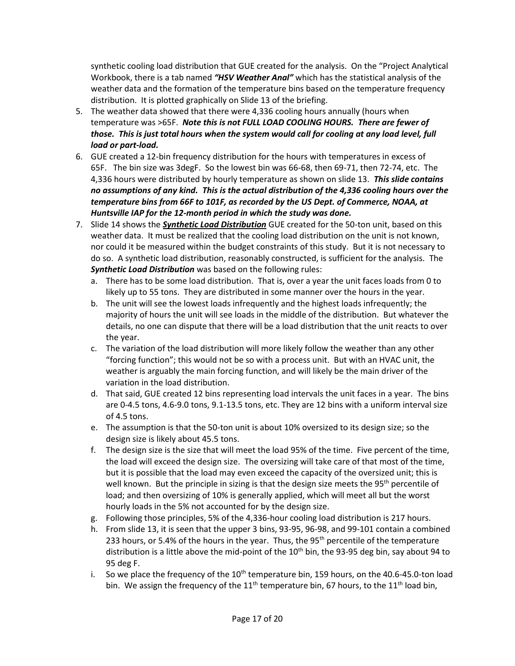synthetic cooling load distribution that GUE created for the analysis. On the "Project Analytical Workbook, there is a tab named *"HSV Weather Anal"* which has the statistical analysis of the weather data and the formation of the temperature bins based on the temperature frequency distribution. It is plotted graphically on Slide 13 of the briefing.

- 5. The weather data showed that there were 4,336 cooling hours annually (hours when temperature was >65F. *Note this is not FULL LOAD COOLING HOURS. There are fewer of those. This is just total hours when the system would call for cooling at any load level, full load or part-load.*
- 6. GUE created a 12-bin frequency distribution for the hours with temperatures in excess of 65F. The bin size was 3degF. So the lowest bin was 66-68, then 69-71, then 72-74, etc. The 4,336 hours were distributed by hourly temperature as shown on slide 13. *This slide contains no assumptions of any kind. This is the actual distribution of the 4,336 cooling hours over the temperature bins from 66F to 101F, as recorded by the US Dept. of Commerce, NOAA, at Huntsville IAP for the 12-month period in which the study was done.*
- 7. Slide 14 shows the *Synthetic Load Distribution* GUE created for the 50-ton unit, based on this weather data. It must be realized that the cooling load distribution on the unit is not known, nor could it be measured within the budget constraints of this study. But it is not necessary to do so. A synthetic load distribution, reasonably constructed, is sufficient for the analysis. The *Synthetic Load Distribution* was based on the following rules:
	- a. There has to be some load distribution. That is, over a year the unit faces loads from 0 to likely up to 55 tons. They are distributed in some manner over the hours in the year.
	- b. The unit will see the lowest loads infrequently and the highest loads infrequently; the majority of hours the unit will see loads in the middle of the distribution. But whatever the details, no one can dispute that there will be a load distribution that the unit reacts to over the year.
	- c. The variation of the load distribution will more likely follow the weather than any other "forcing function"; this would not be so with a process unit. But with an HVAC unit, the weather is arguably the main forcing function, and will likely be the main driver of the variation in the load distribution.
	- d. That said, GUE created 12 bins representing load intervals the unit faces in a year. The bins are 0-4.5 tons, 4.6-9.0 tons, 9.1-13.5 tons, etc. They are 12 bins with a uniform interval size of 4.5 tons.
	- e. The assumption is that the 50-ton unit is about 10% oversized to its design size; so the design size is likely about 45.5 tons.
	- f. The design size is the size that will meet the load 95% of the time. Five percent of the time, the load will exceed the design size. The oversizing will take care of that most of the time, but it is possible that the load may even exceed the capacity of the oversized unit; this is well known. But the principle in sizing is that the design size meets the 95<sup>th</sup> percentile of load; and then oversizing of 10% is generally applied, which will meet all but the worst hourly loads in the 5% not accounted for by the design size.
	- g. Following those principles, 5% of the 4,336-hour cooling load distribution is 217 hours.
	- h. From slide 13, it is seen that the upper 3 bins, 93-95, 96-98, and 99-101 contain a combined 233 hours, or 5.4% of the hours in the year. Thus, the  $95<sup>th</sup>$  percentile of the temperature distribution is a little above the mid-point of the  $10^{th}$  bin, the 93-95 deg bin, say about 94 to 95 deg F.
	- i. So we place the frequency of the  $10^{th}$  temperature bin, 159 hours, on the 40.6-45.0-ton load bin. We assign the frequency of the  $11<sup>th</sup>$  temperature bin, 67 hours, to the  $11<sup>th</sup>$  load bin,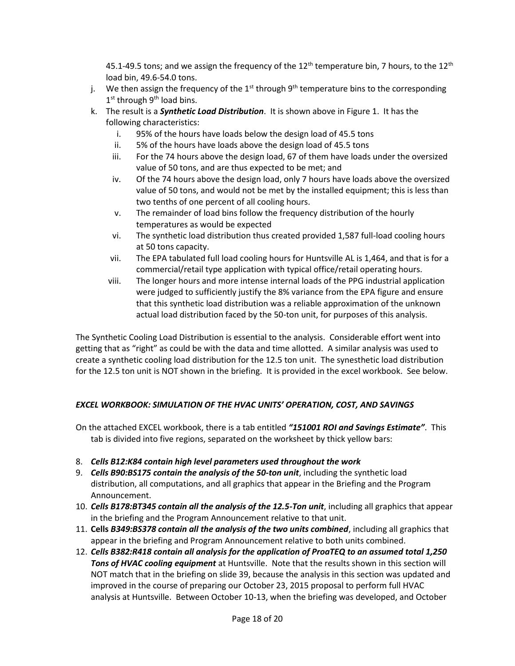45.1-49.5 tons; and we assign the frequency of the  $12<sup>th</sup>$  temperature bin, 7 hours, to the  $12<sup>th</sup>$ load bin, 49.6-54.0 tons.

- j. We then assign the frequency of the  $1^{st}$  through  $9^{th}$  temperature bins to the corresponding 1<sup>st</sup> through 9<sup>th</sup> load bins.
- k. The result is a *Synthetic Load Distribution*. It is shown above in Figure 1. It has the following characteristics:
	- i. 95% of the hours have loads below the design load of 45.5 tons
	- ii. 5% of the hours have loads above the design load of 45.5 tons
	- iii. For the 74 hours above the design load, 67 of them have loads under the oversized value of 50 tons, and are thus expected to be met; and
	- iv. Of the 74 hours above the design load, only 7 hours have loads above the oversized value of 50 tons, and would not be met by the installed equipment; this is less than two tenths of one percent of all cooling hours.
	- v. The remainder of load bins follow the frequency distribution of the hourly temperatures as would be expected
	- vi. The synthetic load distribution thus created provided 1,587 full-load cooling hours at 50 tons capacity.
	- vii. The EPA tabulated full load cooling hours for Huntsville AL is 1,464, and that is for a commercial/retail type application with typical office/retail operating hours.
	- viii. The longer hours and more intense internal loads of the PPG industrial application were judged to sufficiently justify the 8% variance from the EPA figure and ensure that this synthetic load distribution was a reliable approximation of the unknown actual load distribution faced by the 50-ton unit, for purposes of this analysis.

The Synthetic Cooling Load Distribution is essential to the analysis. Considerable effort went into getting that as "right" as could be with the data and time allotted. A similar analysis was used to create a synthetic cooling load distribution for the 12.5 ton unit. The synesthetic load distribution for the 12.5 ton unit is NOT shown in the briefing. It is provided in the excel workbook. See below.

# *EXCEL WORKBOOK: SIMULATION OF THE HVAC UNITS' OPERATION, COST, AND SAVINGS*

On the attached EXCEL workbook, there is a tab entitled *"151001 ROI and Savings Estimate"*. This tab is divided into five regions, separated on the worksheet by thick yellow bars:

- 8. *Cells B12:K84 contain high level parameters used throughout the work*
- 9. *Cells B90:BS175 contain the analysis of the 50-ton unit*, including the synthetic load distribution, all computations, and all graphics that appear in the Briefing and the Program Announcement.
- 10. *Cells B178:BT345 contain all the analysis of the 12.5-Ton unit*, including all graphics that appear in the briefing and the Program Announcement relative to that unit.
- 11. **Cells** *B349:BS378 contain all the analysis of the two units combined*, including all graphics that appear in the briefing and Program Announcement relative to both units combined.
- 12. *Cells B382:R418 contain all analysis for the application of ProaTEQ to an assumed total 1,250 Tons of HVAC cooling equipment* at Huntsville. Note that the results shown in this section will NOT match that in the briefing on slide 39, because the analysis in this section was updated and improved in the course of preparing our October 23, 2015 proposal to perform full HVAC analysis at Huntsville. Between October 10-13, when the briefing was developed, and October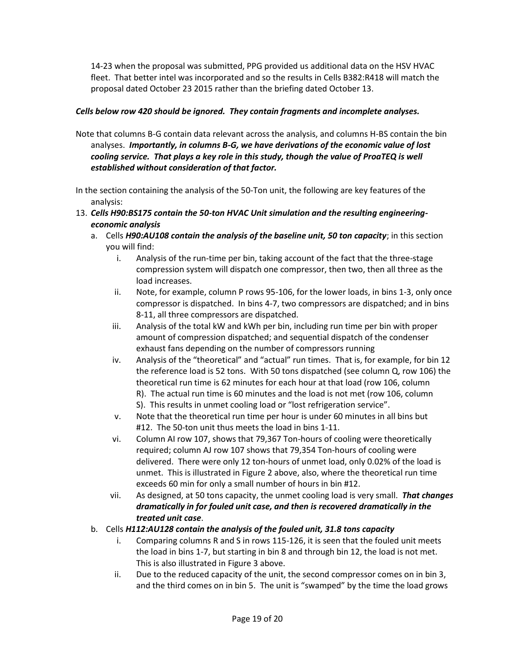14-23 when the proposal was submitted, PPG provided us additional data on the HSV HVAC fleet. That better intel was incorporated and so the results in Cells B382:R418 will match the proposal dated October 23 2015 rather than the briefing dated October 13.

#### *Cells below row 420 should be ignored. They contain fragments and incomplete analyses.*

- Note that columns B-G contain data relevant across the analysis, and columns H-BS contain the bin analyses. *Importantly, in columns B-G, we have derivations of the economic value of lost cooling service. That plays a key role in this study, though the value of ProaTEQ is well established without consideration of that factor.*
- In the section containing the analysis of the 50-Ton unit, the following are key features of the analysis:
- 13. *Cells H90:BS175 contain the 50-ton HVAC Unit simulation and the resulting engineeringeconomic analysis*
	- a. Cells *H90:AU108 contain the analysis of the baseline unit, 50 ton capacity*; in this section you will find:
		- i. Analysis of the run-time per bin, taking account of the fact that the three-stage compression system will dispatch one compressor, then two, then all three as the load increases.
		- ii. Note, for example, column P rows 95-106, for the lower loads, in bins 1-3, only once compressor is dispatched. In bins 4-7, two compressors are dispatched; and in bins 8-11, all three compressors are dispatched.
		- iii. Analysis of the total kW and kWh per bin, including run time per bin with proper amount of compression dispatched; and sequential dispatch of the condenser exhaust fans depending on the number of compressors running
		- iv. Analysis of the "theoretical" and "actual" run times. That is, for example, for bin 12 the reference load is 52 tons. With 50 tons dispatched (see column Q, row 106) the theoretical run time is 62 minutes for each hour at that load (row 106, column R). The actual run time is 60 minutes and the load is not met (row 106, column S). This results in unmet cooling load or "lost refrigeration service".
		- v. Note that the theoretical run time per hour is under 60 minutes in all bins but #12. The 50-ton unit thus meets the load in bins 1-11.
		- vi. Column AI row 107, shows that 79,367 Ton-hours of cooling were theoretically required; column AJ row 107 shows that 79,354 Ton-hours of cooling were delivered. There were only 12 ton-hours of unmet load, only 0.02% of the load is unmet. This is illustrated in Figure 2 above, also, where the theoretical run time exceeds 60 min for only a small number of hours in bin #12.
		- vii. As designed, at 50 tons capacity, the unmet cooling load is very small. *That changes dramatically in for fouled unit case, and then is recovered dramatically in the treated unit case*.

#### b. Cells *H112:AU128 contain the analysis of the fouled unit, 31.8 tons capacity*

- i. Comparing columns R and S in rows 115-126, it is seen that the fouled unit meets the load in bins 1-7, but starting in bin 8 and through bin 12, the load is not met. This is also illustrated in Figure 3 above.
- ii. Due to the reduced capacity of the unit, the second compressor comes on in bin 3, and the third comes on in bin 5. The unit is "swamped" by the time the load grows